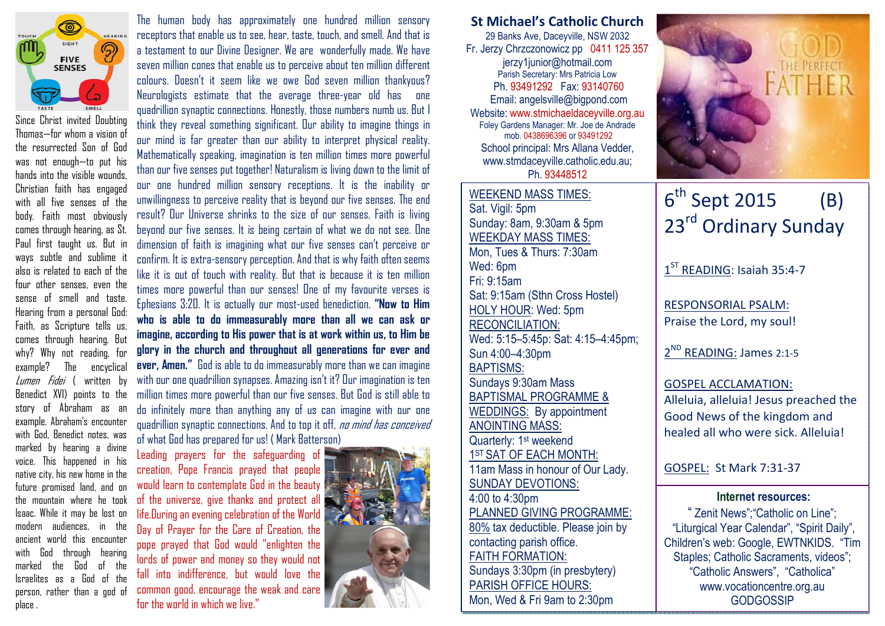

Since Christ invited Doubting Thomas—for whom a vision of the resurrected Son of God was not enough—to put his hands into the visible wounds, Christian faith has engaged with all five senses of the body. Faith most obviously comes through hearing, as St. Paul first taught us. But in ways subtle and sublime it also is related to each of the four other senses, even the sense of smell and taste. Hearing from a personal God: Faith, as Scripture tells us, comes through hearing. But why? Why not reading, for example? The encyclical *Lumen Fidei* ( written by Benedict XVI) points to the story of Abraham as an example. Abraham's encounter with God, Benedict notes, was marked by hearing a divine voice. This happened in his native city, his new home in the future promised land, and on the mountain where he took Isaac. While it may be lost on modern audiences, in the ancient world this encounter with God through hearing marked the God of the Israelites as a God of the person, rather than a god of place .

The human body has approximately one hundred million sensory receptors that enable us to see, hear, taste, touch, and smell. And that is a testament to our Divine Designer. We are wonderfully made. We have seven million cones that enable us to perceive about ten million different colours. Doesn't it seem like we owe God seven million thankyous? Neurologists estimate that the average three-year old has one quadrillion synaptic connections. Honestly, those numbers numb us. But I think they reveal something significant. Our ability to imagine things in our mind is far greater than our ability to interpret physical reality. Mathematically speaking, imagination is ten million times more powerful than our five senses put together! Naturalism is living down to the limit of our one hundred million sensory receptions. It is the inability or unwillingness to perceive reality that is beyond our five senses. The end result? Our Universe shrinks to the size of our senses. Faith is living beyond our five senses. It is being certain of what we do not see. One dimension of faith is imagining what our five senses can't perceive or confirm. It is extra-sensory perception. And that is why faith often seems like it is out of touch with reality. But that is because it is ten million times more powerful than our senses! One of my favourite verses is Ephesians 3:20. It is actually our most-used benediction. "Now to Him who is able to do immeasurably more than all we can ask or imagine, according to His power that is at work within us, to Him be glory in the church and throughout all generations for ever and ever, Amen." God is able to do immeasurably more than we can imagine with our one quadrillion synapses. Amazing isn't it? Our imagination is ten million times more powerful than our five senses. But God is still able to do infinitely more than anything any of us can imagine with our one quadrillion synaptic connections. And to top it off, no mind has conceived

of what God has prepared for us! ( Mark Batterson)Leading prayers for the safeguarding of creation, Pope Francis prayed that people would learn to contemplate God in the beauty of the universe, give thanks and protect all life.During an evening celebration of the World Day of Prayer for the Care of Creation, the pope prayed that God would "enlighten the lords of power and money so they would not fall into indifference, but would love the common good, encourage the weak and care for the world in which we live."



St Michael's Catholic Church 29 Banks Ave, Daceyville, NSW 2032 Fr. Jerzy Chrzczonowicz pp 0411 125 357 jerzy1junior@hotmail.com Parish Secretary: Mrs Patricia Low Ph. 93491292 Fax: 93140760 Email: angelsville@bigpond.com Website: www.stmichaeldaceyville.org.au Foley Gardens Manager: Mr. Joe de Andrade mob. 0438696396 or 93491292 School principal: Mrs Allana Vedder, www.stmdaceyville.catholic.edu.au; Ph. 93448512

## WEEKEND MASS TIMES:Sat. Vigil: 5pm Sunday: 8am, 9:30am & 5pm WEEKDAY MASS TIMES: Mon, Tues & Thurs: 7:30am Wed: 6pm Fri: 9:15am Sat: 9:15am (Sthn Cross Hostel) HOLY HOUR: Wed: 5pm RECONCILIATION: Wed: 5:15–5:45p: Sat: 4:15–4:45pm; Sun 4:00–4:30pm BAPTISMS: Sundays 9:30am Mass BAPTISMAL PROGRAMME & WEDDINGS: By appointment ANOINTING MASS: Quarterly: 1<sup>st</sup> weekend 1<sup>ST</sup> SAT OF EACH MONTH: 11am Mass in honour of Our Lady. SUNDAY DEVOTIONS: 4:00 to 4:30pm PLANNED GIVING PROGRAMME: 80% tax deductible. Please join by contacting parish office. FAITH FORMATION: Sundays 3:30pm (in presbytery) PARISH OFFICE HOURS: Mon, Wed & Fri 9am to 2:30pm



# $6^{\text{th}}$  Sept 2015 (B) 23<sup>rd</sup> Ordinary Sunday

1<sup>ST</sup> READING: Isaiah 35:4-7

RESPONSORIAL PSALM: Praise the Lord, my soul!

2<sup>ND</sup> READING: James 2:1-5

### GOSPEL ACCLAMATION:

Alleluia, alleluia! Jesus preached the Good News of the kingdom and healed all who were sick. Alleluia!

GOSPEL: St Mark 7:31-37

#### Internet resources:

" Zenit News";"Catholic on Line"; "Liturgical Year Calendar", "Spirit Daily", Children's web: Google, EWTNKIDS. "Tim Staples; Catholic Sacraments, videos"; "Catholic Answers", "Catholica" www.vocationcentre.org.au **GODGOSSIP**